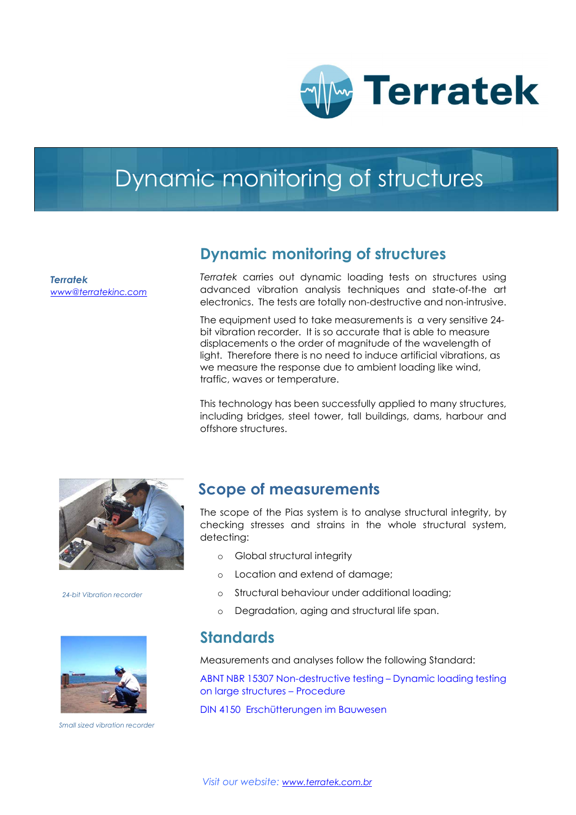

# Dynamic monitoring of structures

Terratek www@terratekinc.com

### Dynamic monitoring of structures

Terratek carries out dynamic loading tests on structures using advanced vibration analysis techniques and state-of-the art electronics. The tests are totally non-destructive and non-intrusive.

The equipment used to take measurements is a very sensitive 24 bit vibration recorder. It is so accurate that is able to measure displacements o the order of magnitude of the wavelength of light. Therefore there is no need to induce artificial vibrations, as we measure the response due to ambient loading like wind, traffic, waves or temperature.

This technology has been successfully applied to many structures, including bridges, steel tower, tall buildings, dams, harbour and offshore structures.



24-bit Vibration recorder



Small sized vibration recorder

### Scope of measurements

The scope of the Pias system is to analyse structural integrity, by checking stresses and strains in the whole structural system, detecting:

- o Global structural integrity
- o Location and extend of damage;
- o Structural behaviour under additional loading;
- o Degradation, aging and structural life span.

### **Standards**

Measurements and analyses follow the following Standard:

ABNT NBR 15307 Non-destructive testing – Dynamic loading testing on large structures – Procedure

DIN 4150 Erschütterungen im Bauwesen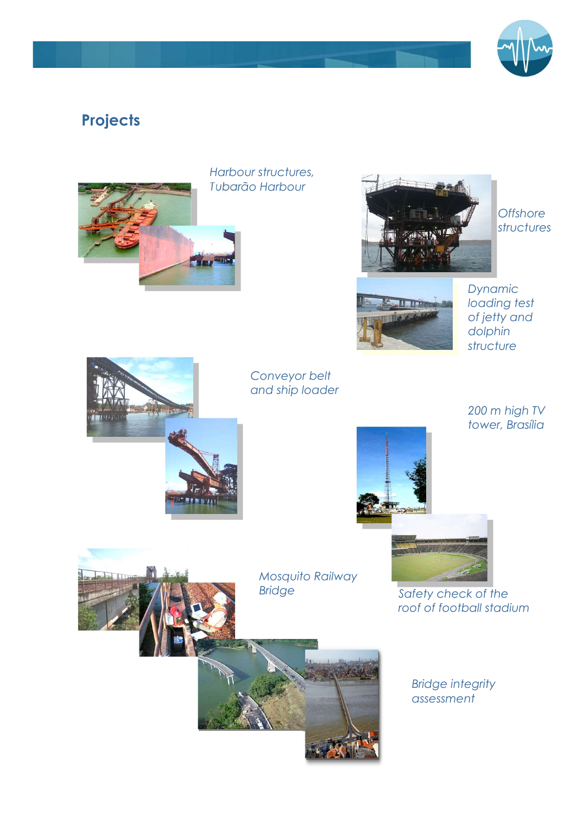

## **Projects**



Harbour structures, Tubarão Harbour



**Offshore** structures



Dynamic loading test of jetty and dolphin structure



Conveyor belt and ship loader

> 200 m high TV tower, Brasília





Bridge integrity assessment

Safety check of the roof of football stadium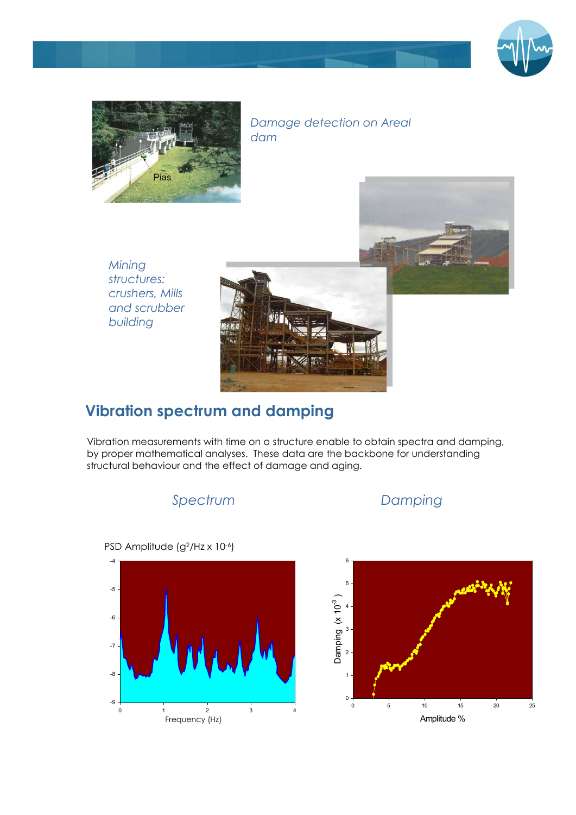



#### Damage detection on Areal dam

Mining structures: crushers, Mills and scrubber building



#### m<del>en</del> Vibration spectrum and damping

A structural behaviour and the effect of damage and aging. Vibration measurements with time on a structure enable to obtain spectra and damping, by proper mathematical analyses. These data are the backbone for understanding

Spectrum Damping